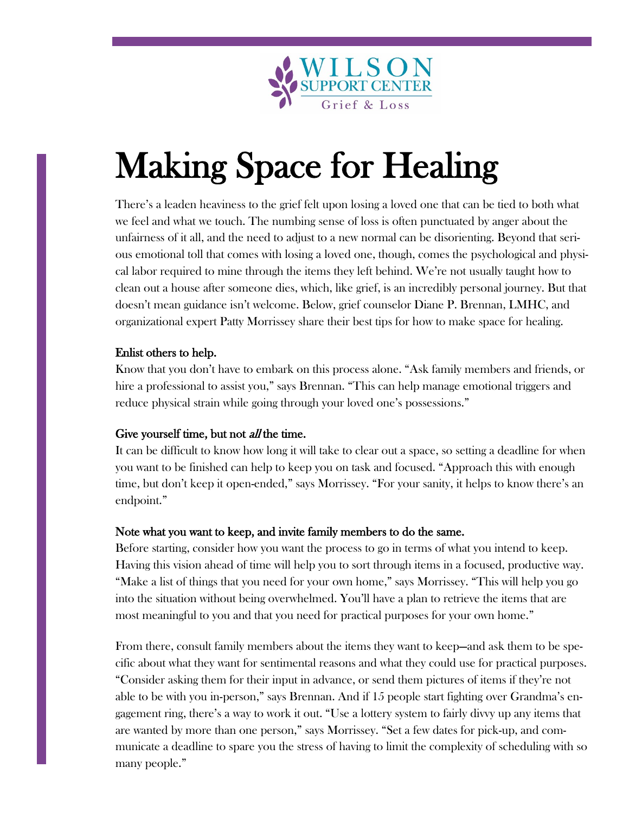

# Making Space for Healing

There's a leaden heaviness to the grief felt upon losing a loved one that can be tied to both what we feel and what we touch. The numbing sense of loss is often punctuated by anger about the unfairness of it all, and the need to adjust to a new normal can be disorienting. Beyond that serious emotional toll that comes with losing a loved one, though, comes the psychological and physical labor required to mine through the items they left behind. We're not usually taught how to clean out a house after someone dies, which, like grief, is an incredibly personal journey. But that doesn't mean guidance isn't welcome. Below, grief counselor Diane P. Brennan, LMHC, and organizational expert Patty Morrissey share their best tips for how to make space for healing.

# Enlist others to help.

Know that you don't have to embark on this process alone. "Ask family members and friends, or hire a professional to assist you," says Brennan. "This can help manage emotional triggers and reduce physical strain while going through your loved one's possessions."

# Give yourself time, but not *all* the time.

It can be difficult to know how long it will take to clear out a space, so setting a deadline for when you want to be finished can help to keep you on task and focused. "Approach this with enough time, but don't keep it open-ended," says Morrissey. "For your sanity, it helps to know there's an endpoint."

# Note what you want to keep, and invite family members to do the same.

Before starting, consider how you want the process to go in terms of what you intend to keep. Having this vision ahead of time will help you to sort through items in a focused, productive way. "Make a list of things that you need for your own home," says Morrissey. "This will help you go into the situation without being overwhelmed. You'll have a plan to retrieve the items that are most meaningful to you and that you need for practical purposes for your own home."

From there, consult family members about the items they want to keep—and ask them to be specific about what they want for sentimental reasons and what they could use for practical purposes. "Consider asking them for their input in advance, or send them pictures of items if they're not able to be with you in-person," says Brennan. And if 15 people start fighting over Grandma's engagement ring, there's a way to work it out. "Use a lottery system to fairly divvy up any items that are wanted by more than one person," says Morrissey. "Set a few dates for pick-up, and communicate a deadline to spare you the stress of having to limit the complexity of scheduling with so many people."